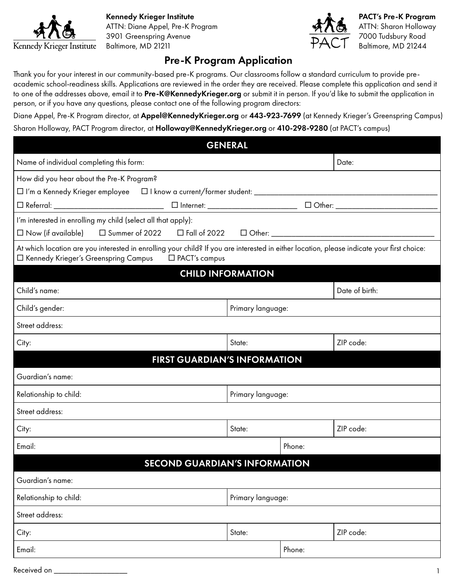

Kennedy Krieger Institute **PACT's Pre-K Program** ATTN: Diane Appel, Pre-K Program ATTN: Sharon Holloway 3901 Greenspring Avenue 7000 Tudsbury Road



Baltimore, MD 21211  $\mathcal{H}\left(\bigcup_{\text{Baltimore, MD 21244}}$ 

## Pre-K Program Application

Thank you for your interest in our community-based pre-K programs. Our classrooms follow a standard curriculum to provide preacademic school-readiness skills. Applications are reviewed in the order they are received. Please complete this application and send it to one of the addresses above, email it to [Pre-K@KennedyKrieger.org](mailto:Pre-K%40KennedyKrieger.org?subject=) or submit it in person. If you'd like to submit the application in person, or if you have any questions, please contact one of the following program directors:

Diane Appel, Pre-K Program director, at [Appel@KennedyKrieger.org](mailto:Appel%40KennedyKrieger.org?subject=) or 443-923-7699 (at Kennedy Krieger's Greenspring Campus) Sharon Holloway, PACT Program director, at [Holloway@KennedyKrieger.org](mailto:Holloway%40KennedyKrieger.org?subject=) or 410-298-9280 (at PACT's campus)

| <b>GENERAL</b>                                                                                                                                                                                          |                     |        |                |  |  |  |
|---------------------------------------------------------------------------------------------------------------------------------------------------------------------------------------------------------|---------------------|--------|----------------|--|--|--|
| Name of individual completing this form:                                                                                                                                                                |                     |        | Date:          |  |  |  |
| How did you hear about the Pre-K Program?                                                                                                                                                               |                     |        |                |  |  |  |
|                                                                                                                                                                                                         |                     |        |                |  |  |  |
|                                                                                                                                                                                                         |                     |        |                |  |  |  |
| I'm interested in enrolling my child (select all that apply):                                                                                                                                           |                     |        |                |  |  |  |
|                                                                                                                                                                                                         |                     |        |                |  |  |  |
| At which location are you interested in enrolling your child? If you are interested in either location, please indicate your first choice:<br>□ Kennedy Krieger's Greenspring Campus<br>□ PACT's campus |                     |        |                |  |  |  |
| <b>CHILD INFORMATION</b>                                                                                                                                                                                |                     |        |                |  |  |  |
| Child's name:                                                                                                                                                                                           |                     |        | Date of birth: |  |  |  |
| Child's gender:<br>Primary language:                                                                                                                                                                    |                     |        |                |  |  |  |
| Street address:                                                                                                                                                                                         |                     |        |                |  |  |  |
| City:                                                                                                                                                                                                   | State:              |        | ZIP code:      |  |  |  |
| <b>FIRST GUARDIAN'S INFORMATION</b>                                                                                                                                                                     |                     |        |                |  |  |  |
| Guardian's name:                                                                                                                                                                                        |                     |        |                |  |  |  |
| Relationship to child:                                                                                                                                                                                  | Primary language:   |        |                |  |  |  |
| Street address:                                                                                                                                                                                         |                     |        |                |  |  |  |
| City:                                                                                                                                                                                                   | State:              |        | ZIP code:      |  |  |  |
| Email:                                                                                                                                                                                                  |                     | Phone: |                |  |  |  |
| <b>SECOND GUARDIAN'S INFORMATION</b>                                                                                                                                                                    |                     |        |                |  |  |  |
| Guardian's name:                                                                                                                                                                                        |                     |        |                |  |  |  |
| Relationship to child:                                                                                                                                                                                  | Primary language:   |        |                |  |  |  |
| Street address:                                                                                                                                                                                         |                     |        |                |  |  |  |
| City:                                                                                                                                                                                                   | ZIP code:<br>State: |        |                |  |  |  |
| Email:                                                                                                                                                                                                  |                     | Phone: |                |  |  |  |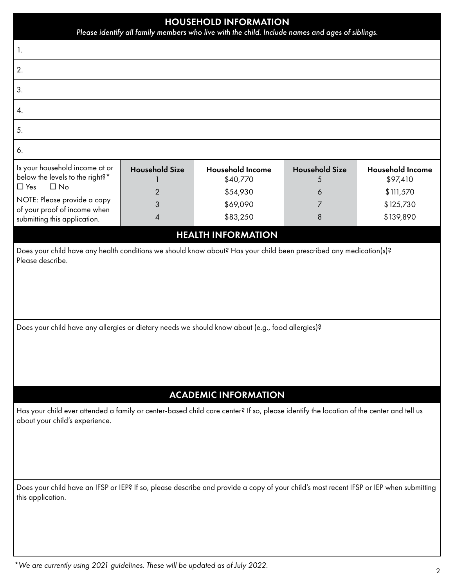| <b>HOUSEHOLD INFORMATION</b><br>Please identify all family members who live with the child. Include names and ages of siblings.                                                                         |                                 |                                                             |                                      |                                                               |  |
|---------------------------------------------------------------------------------------------------------------------------------------------------------------------------------------------------------|---------------------------------|-------------------------------------------------------------|--------------------------------------|---------------------------------------------------------------|--|
| 1.                                                                                                                                                                                                      |                                 |                                                             |                                      |                                                               |  |
| 2.                                                                                                                                                                                                      |                                 |                                                             |                                      |                                                               |  |
| 3.                                                                                                                                                                                                      |                                 |                                                             |                                      |                                                               |  |
| 4.                                                                                                                                                                                                      |                                 |                                                             |                                      |                                                               |  |
| 5.                                                                                                                                                                                                      |                                 |                                                             |                                      |                                                               |  |
| 6.                                                                                                                                                                                                      |                                 |                                                             |                                      |                                                               |  |
| Is your household income at or<br>below the levels to the right?*<br>$\Box$ Yes<br>$\Box$ No<br>NOTE: Please provide a copy                                                                             | <b>Household Size</b><br>2<br>3 | <b>Household Income</b><br>\$40,770<br>\$54,930<br>\$69,090 | <b>Household Size</b><br>5<br>6<br>7 | <b>Household Income</b><br>\$97,410<br>\$111,570<br>\$125,730 |  |
| of your proof of income when<br>submitting this application.                                                                                                                                            | $\overline{\mathcal{A}}$        | \$83,250                                                    | 8                                    | \$139,890                                                     |  |
|                                                                                                                                                                                                         |                                 | <b>HEALTH INFORMATION</b>                                   |                                      |                                                               |  |
| Does your child have any allergies or dietary needs we should know about (e.g., food allergies)?                                                                                                        |                                 |                                                             |                                      |                                                               |  |
| <b>ACADEMIC INFORMATION</b><br>Has your child ever attended a family or center-based child care center? If so, please identify the location of the center and tell us<br>about your child's experience. |                                 |                                                             |                                      |                                                               |  |
| Does your child have an IFSP or IEP? If so, please describe and provide a copy of your child's most recent IFSP or IEP when submitting<br>this application.                                             |                                 |                                                             |                                      |                                                               |  |

*\*We are currently using 2021 guidelines. These will be updated as of July 2022.*